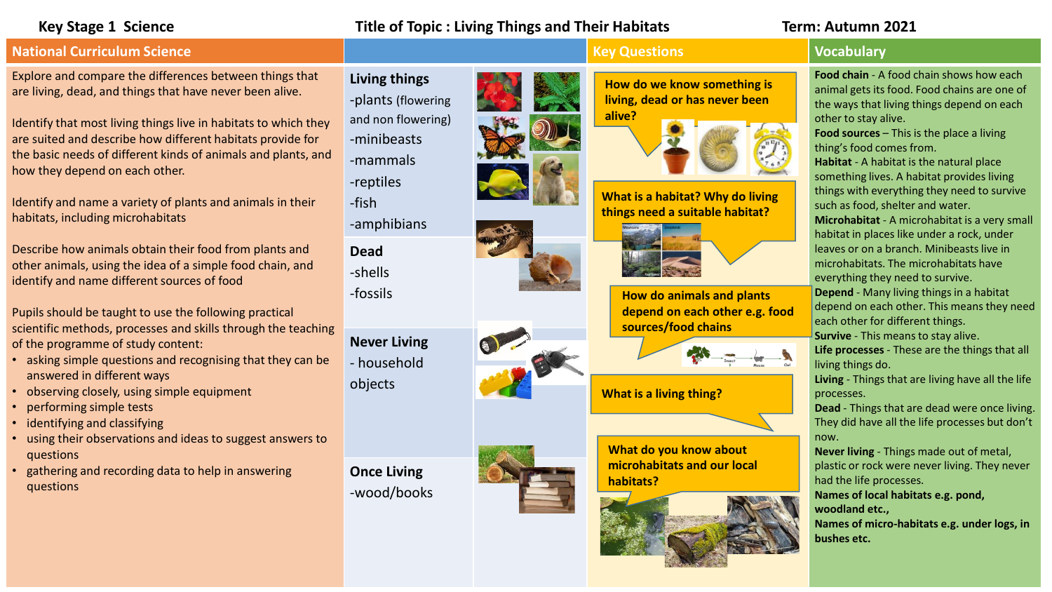# **Key Stage 1 Science Title of Topic : Living Things and Their Habitats Term: Autumn 2021**

# **National Curriculum Science Key Questions Key Questions Vocabulary**

Explore and compare the differences between things that are living, dead, and things that have never been alive.

Identify that most living things live in habitats to which they are suited and describe how different habitats provide for the basic needs of different kinds of animals and plants, and how they depend on each other.

Identify and name a variety of plants and animals in their habitats, including microhabitats

Describe how animals obtain their food from plants and other animals, using the idea of a simple food chain, and identify and name different sources of food

Pupils should be taught to use the following practical scientific methods, processes and skills through the teaching of the programme of study content:

- asking simple questions and recognising that they can be answered in different ways
- observing closely, using simple equipment
- performing simple tests
- identifying and classifying
- using their observations and ideas to suggest answers to questions
- gathering and recording data to help in answering questions

**Living things** -plants (flowering and non flowering) -minibeasts -mammals -reptiles

-fish

-amphibians

**Dead** -shells -fossils

**Never Living**  - household objects

**Once Living** -wood/books



**How do we know something is living, dead or has never been alive?** 



**What is a habitat? Why do living things need a suitable habitat?** 



**How do animals and plants depend on each other e.g. food sources/food chains**



## **What is a living thing?**

**What do you know about microhabitats and our local habitats?**



**Food chain** - A food chain shows how each animal gets its food. Food chains are one of the ways that living things depend on each other to stay alive.

**Food sources** – This is the place a living thing's food comes from.

**Habitat** - A habitat is the natural place something lives. A habitat provides living things with everything they need to survive such as food, shelter and water. **Microhabitat** - A microhabitat is a very small habitat in places like under a rock, under leaves or on a branch. Minibeasts live in microhabitats. The microhabitats have everything they need to survive.

**Depend** - Many living things in a habitat depend on each other. This means they need each other for different things. **Survive** - This means to stay alive.

**Life processes** - These are the things that all living things do.

**Living** - Things that are living have all the life processes.

**Dead** - Things that are dead were once living. They did have all the life processes but don't now.

**Never living** - Things made out of metal, plastic or rock were never living. They never had the life processes.

**Names of local habitats e.g. pond, woodland etc.,** 

**Names of micro-habitats e.g. under logs, in bushes etc.**